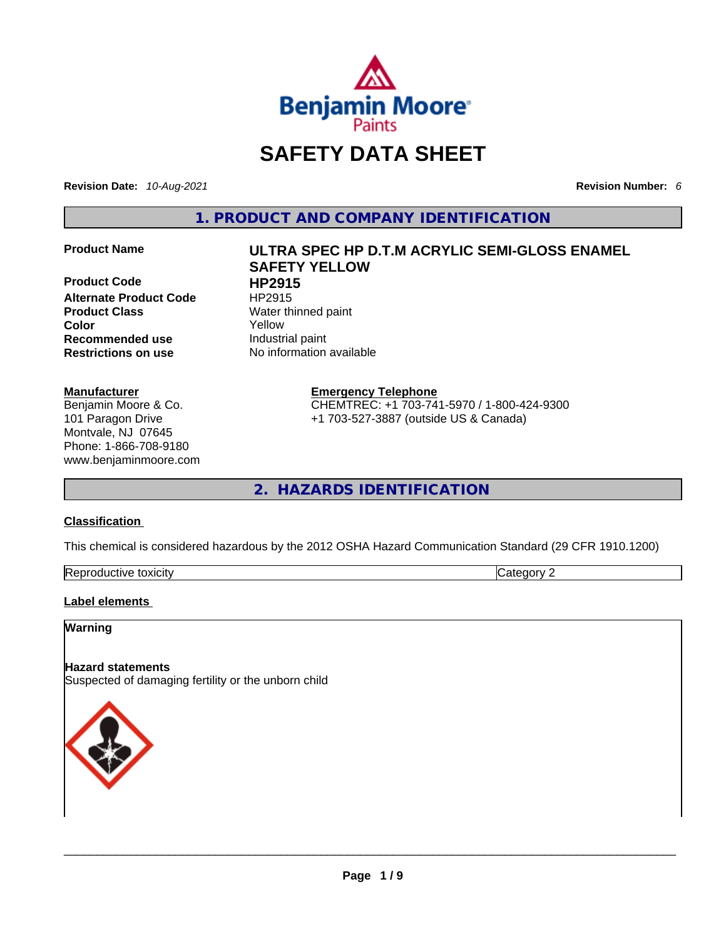

## **SAFETY DATA SHEET**

**Revision Date:** *10-Aug-2021* **Revision Number:** *6*

**1. PRODUCT AND COMPANY IDENTIFICATION** 

**Product Code HP2915 Alternate Product Code HP2915 Product Class Water thinned paint Color**<br> **Recommended use** 
<br> **Recommended use Industrial paint Recommended use**<br>**Restrictions on use** 

#### **Manufacturer**

Benjamin Moore & Co. 101 Paragon Drive Montvale, NJ 07645 Phone: 1-866-708-9180 www.benjaminmoore.com

# **Product Name ULTRA SPEC HP D.T.M ACRYLIC SEMI-GLOSS ENAMEL SAFETY YELLOW**

**No information available** 

#### **Emergency Telephone**

CHEMTREC: +1 703-741-5970 / 1-800-424-9300 +1 703-527-3887 (outside US & Canada)

**2. HAZARDS IDENTIFICATION** 

#### **Classification**

This chemical is considered hazardous by the 2012 OSHA Hazard Communication Standard (29 CFR 1910.1200)

| Reproductive toxicity | $\sim$ | $\sim$ $\sim$ $\sim$ |
|-----------------------|--------|----------------------|

#### **Label elements**

#### **Warning**

#### **Hazard statements**

Suspected of damaging fertility or the unborn child

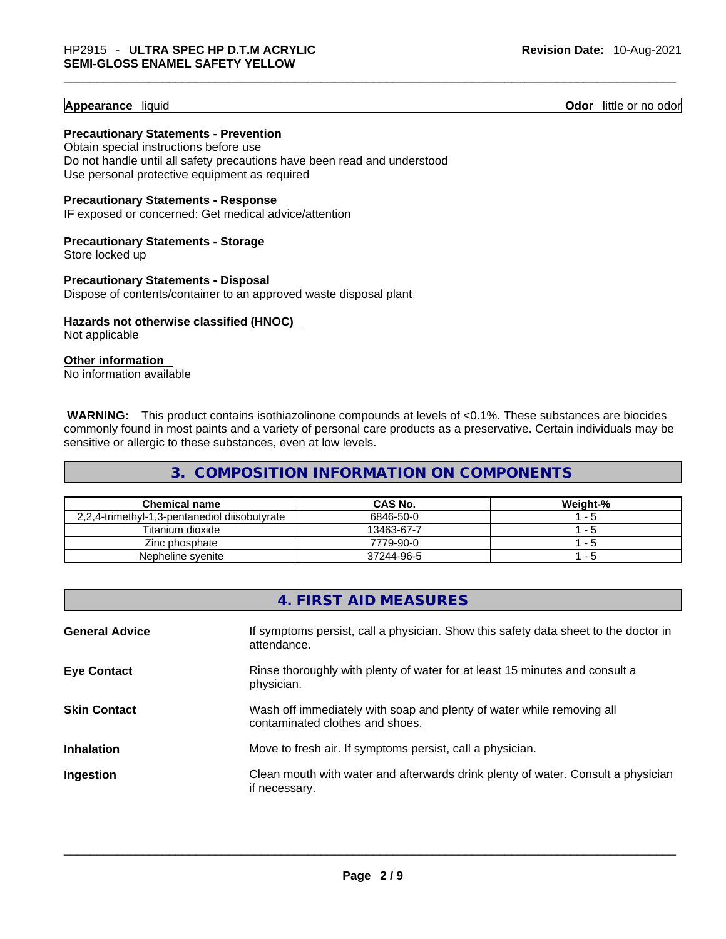#### **Appearance** liquid **Odor 11** and **Odor 11** and **Odor 11** and **Odor 11** and **Odor** 11 and **Odor** 11 and **Odor** 11 and **Odor** 11 and **Odor** 11 and **Odor** 11 and **Odor** 11 and **Odor** 11 and **Odor** 11 and **Odor** 11 and **Odor**

**Precautionary Statements - Prevention** Obtain special instructions before use

Do not handle until all safety precautions have been read and understood Use personal protective equipment as required

**Precautionary Statements - Response**

IF exposed or concerned: Get medical advice/attention

**Precautionary Statements - Storage** Store locked up

**Precautionary Statements - Disposal** Dispose of contents/container to an approved waste disposal plant

**Hazards not otherwise classified (HNOC)**  Not applicable

**Other information** 

No information available

**WARNING:** This product contains isothiazolinone compounds at levels of <0.1%. These substances are biocides commonly found in most paints and a variety of personal care products as a preservative. Certain individuals may be sensitive or allergic to these substances, even at low levels.

#### **3. COMPOSITION INFORMATION ON COMPONENTS**

| <b>Chemical name</b>                          | CAS No.    | Weight-% |
|-----------------------------------------------|------------|----------|
| 2,2,4-trimethyl-1,3-pentanediol diisobutyrate | 6846-50-0  | 1 - 5    |
| Titanium dioxide                              | 13463-67-7 | 1 - 5    |
| Zinc phosphate                                | 7779-90-0  | ל-י      |
| Nepheline svenite                             | 37244-96-5 | - 5      |

|                       | 4. FIRST AID MEASURES                                                                                    |
|-----------------------|----------------------------------------------------------------------------------------------------------|
| <b>General Advice</b> | If symptoms persist, call a physician. Show this safety data sheet to the doctor in<br>attendance.       |
| <b>Eye Contact</b>    | Rinse thoroughly with plenty of water for at least 15 minutes and consult a<br>physician.                |
| <b>Skin Contact</b>   | Wash off immediately with soap and plenty of water while removing all<br>contaminated clothes and shoes. |
| <b>Inhalation</b>     | Move to fresh air. If symptoms persist, call a physician.                                                |
| Ingestion             | Clean mouth with water and afterwards drink plenty of water. Consult a physician<br>if necessary.        |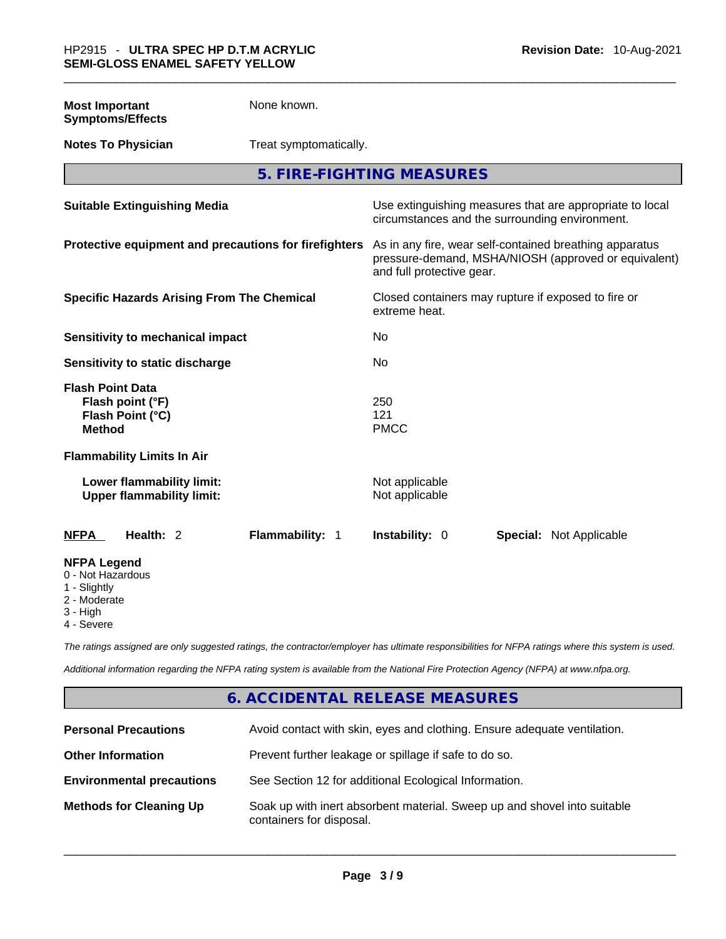| <b>Most Important</b> | None known. |
|-----------------------|-------------|
|                       |             |

**Symptoms/Effects** 

- **Notes To Physician** Treat symptomatically.
	- **5. FIRE-FIGHTING MEASURES**

| <b>Suitable Extinguishing Media</b>                                                                                   | Use extinguishing measures that are appropriate to local<br>circumstances and the surrounding environment.                                   |  |
|-----------------------------------------------------------------------------------------------------------------------|----------------------------------------------------------------------------------------------------------------------------------------------|--|
| Protective equipment and precautions for firefighters                                                                 | As in any fire, wear self-contained breathing apparatus<br>pressure-demand, MSHA/NIOSH (approved or equivalent)<br>and full protective gear. |  |
| <b>Specific Hazards Arising From The Chemical</b>                                                                     | Closed containers may rupture if exposed to fire or<br>extreme heat.                                                                         |  |
| Sensitivity to mechanical impact                                                                                      | No.                                                                                                                                          |  |
| Sensitivity to static discharge                                                                                       | No.                                                                                                                                          |  |
| <b>Flash Point Data</b><br>Flash point (°F)<br>Flash Point (°C)<br><b>Method</b><br><b>Flammability Limits In Air</b> | 250<br>121<br><b>PMCC</b>                                                                                                                    |  |
| Lower flammability limit:<br><b>Upper flammability limit:</b>                                                         | Not applicable<br>Not applicable                                                                                                             |  |
| Health: 2<br>Flammability: 1<br><b>NFPA</b>                                                                           | <b>Instability: 0</b><br><b>Special: Not Applicable</b>                                                                                      |  |
| <b>NFPA Legend</b><br>0 - Not Hazardous<br>1 - Slightly<br>2 - Moderate<br>3 - High                                   |                                                                                                                                              |  |

4 - Severe

*The ratings assigned are only suggested ratings, the contractor/employer has ultimate responsibilities for NFPA ratings where this system is used.* 

*Additional information regarding the NFPA rating system is available from the National Fire Protection Agency (NFPA) at www.nfpa.org.* 

#### **6. ACCIDENTAL RELEASE MEASURES**

| <b>Personal Precautions</b>      | Avoid contact with skin, eyes and clothing. Ensure adequate ventilation.                             |
|----------------------------------|------------------------------------------------------------------------------------------------------|
| <b>Other Information</b>         | Prevent further leakage or spillage if safe to do so.                                                |
| <b>Environmental precautions</b> | See Section 12 for additional Ecological Information.                                                |
| <b>Methods for Cleaning Up</b>   | Soak up with inert absorbent material. Sweep up and shovel into suitable<br>containers for disposal. |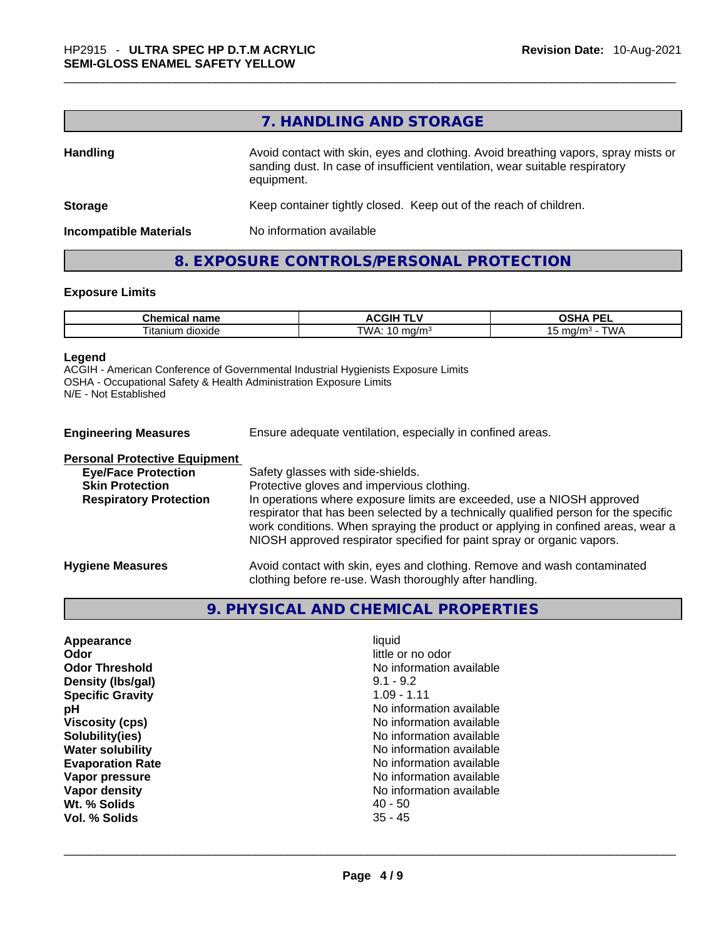#### **7. HANDLING AND STORAGE**

| <b>Handling</b>               | Avoid contact with skin, eyes and clothing. Avoid breathing vapors, spray mists or<br>sanding dust. In case of insufficient ventilation, wear suitable respiratory<br>equipment. |
|-------------------------------|----------------------------------------------------------------------------------------------------------------------------------------------------------------------------------|
| <b>Storage</b>                | Keep container tightly closed. Keep out of the reach of children.                                                                                                                |
| <b>Incompatible Materials</b> | No information available                                                                                                                                                         |

#### **8. EXPOSURE CONTROLS/PERSONAL PROTECTION**

#### **Exposure Limits**

| $\sim$ $\sim$ $\sim$         | - - - - - -                                                | <b>DEI</b>                                           |
|------------------------------|------------------------------------------------------------|------------------------------------------------------|
| name                         | <b>ACGIF</b>                                               | $\sim$                                               |
| Chemical                     | . .                                                        |                                                      |
| --<br>າ dioxide<br>l itanium | <b>TIMA</b><br>. .<br>ma/m∘<br>. ت<br>$\ddot{\phantom{a}}$ | $\mathbf{A}$<br>ma/m <sup>3</sup><br><b>VVF</b><br>՝ |

#### **Legend**

ACGIH - American Conference of Governmental Industrial Hygienists Exposure Limits OSHA - Occupational Safety & Health Administration Exposure Limits N/E - Not Established

| <b>Personal Protective Equipment</b> |                                                                                      |
|--------------------------------------|--------------------------------------------------------------------------------------|
| <b>Eye/Face Protection</b>           | Safety glasses with side-shields.                                                    |
| <b>Skin Protection</b>               | Protective gloves and impervious clothing.                                           |
| <b>Respiratory Protection</b>        | In operations where exposure limits are exceeded, use a NIOSH approved               |
|                                      | respirator that has been selected by a technically qualified person for the specific |
|                                      | work conditions. When spraying the product or applying in confined areas, wear a     |
|                                      | NIOSH approved respirator specified for paint spray or organic vapors.               |
| <b>Hygiene Measures</b>              | Avoid contact with skin, eyes and clothing. Remove and wash contaminated             |
|                                      | clothing before re-use. Wash thoroughly after handling.                              |

#### **9. PHYSICAL AND CHEMICAL PROPERTIES**

| <b>Appearance</b>       | liquid                   |  |
|-------------------------|--------------------------|--|
| Odor                    | little or no odor        |  |
| <b>Odor Threshold</b>   | No information available |  |
| Density (Ibs/gal)       | $9.1 - 9.2$              |  |
| <b>Specific Gravity</b> | $1.09 - 1.11$            |  |
| рH                      | No information available |  |
| <b>Viscosity (cps)</b>  | No information available |  |
| Solubility(ies)         | No information available |  |
| <b>Water solubility</b> | No information available |  |
| <b>Evaporation Rate</b> | No information available |  |
| Vapor pressure          | No information available |  |
| Vapor density           | No information available |  |
| Wt. % Solids            | $40 - 50$                |  |
| Vol. % Solids           | $35 - 45$                |  |
|                         |                          |  |
|                         |                          |  |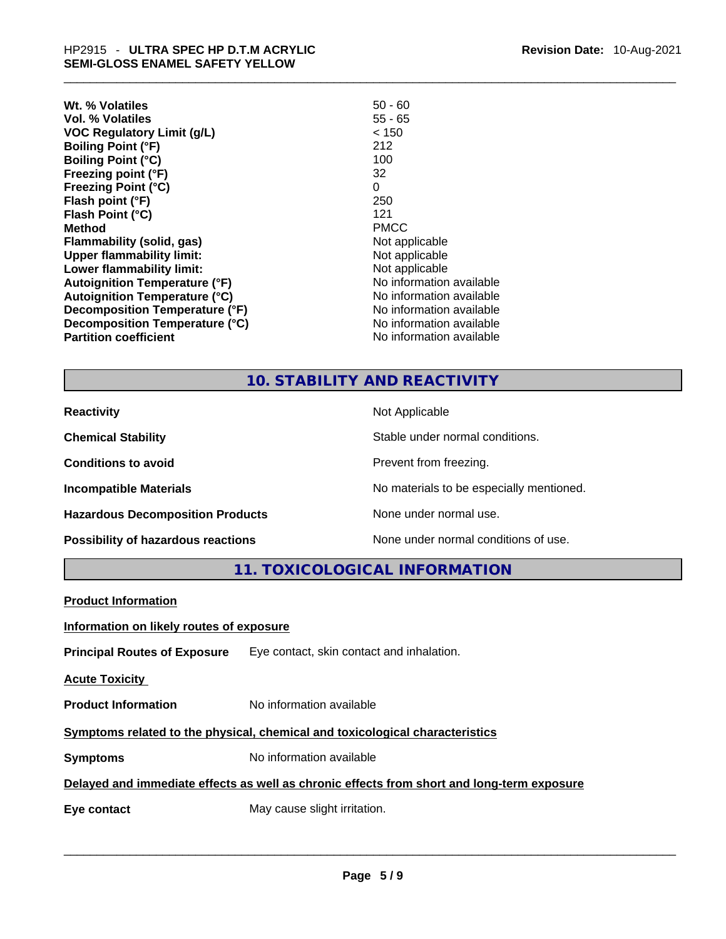| Wt. % Volatiles                      | $50 - 60$                |
|--------------------------------------|--------------------------|
| Vol. % Volatiles                     | $55 - 65$                |
| <b>VOC Regulatory Limit (g/L)</b>    | < 150                    |
| <b>Boiling Point (°F)</b>            | 212                      |
| <b>Boiling Point (°C)</b>            | 100                      |
| Freezing point (°F)                  | 32                       |
| <b>Freezing Point (°C)</b>           | 0                        |
| Flash point (°F)                     | 250                      |
| Flash Point (°C)                     | 121                      |
| <b>Method</b>                        | <b>PMCC</b>              |
| <b>Flammability (solid, gas)</b>     | Not applicable           |
| <b>Upper flammability limit:</b>     | Not applicable           |
| Lower flammability limit:            | Not applicable           |
| <b>Autoignition Temperature (°F)</b> | No information available |
| <b>Autoignition Temperature (°C)</b> | No information available |
| Decomposition Temperature (°F)       | No information available |
| Decomposition Temperature (°C)       | No information available |
| <b>Partition coefficient</b>         | No information available |

**Revision Date:** 10-Aug-2021

#### **10. STABILITY AND REACTIVITY**

| <b>Reactivity</b>                       | Not Applicable                           |
|-----------------------------------------|------------------------------------------|
| <b>Chemical Stability</b>               | Stable under normal conditions.          |
| <b>Conditions to avoid</b>              | Prevent from freezing.                   |
| <b>Incompatible Materials</b>           | No materials to be especially mentioned. |
| <b>Hazardous Decomposition Products</b> | None under normal use.                   |
| Possibility of hazardous reactions      | None under normal conditions of use.     |

**11. TOXICOLOGICAL INFORMATION** 

| <b>Product Information</b>                                                                 |                                                                               |  |
|--------------------------------------------------------------------------------------------|-------------------------------------------------------------------------------|--|
| Information on likely routes of exposure                                                   |                                                                               |  |
|                                                                                            | <b>Principal Routes of Exposure</b> Eye contact, skin contact and inhalation. |  |
| <b>Acute Toxicity</b>                                                                      |                                                                               |  |
| <b>Product Information</b>                                                                 | No information available                                                      |  |
| Symptoms related to the physical, chemical and toxicological characteristics               |                                                                               |  |
| <b>Symptoms</b>                                                                            | No information available                                                      |  |
| Delayed and immediate effects as well as chronic effects from short and long-term exposure |                                                                               |  |
| Eye contact                                                                                | May cause slight irritation.                                                  |  |
|                                                                                            |                                                                               |  |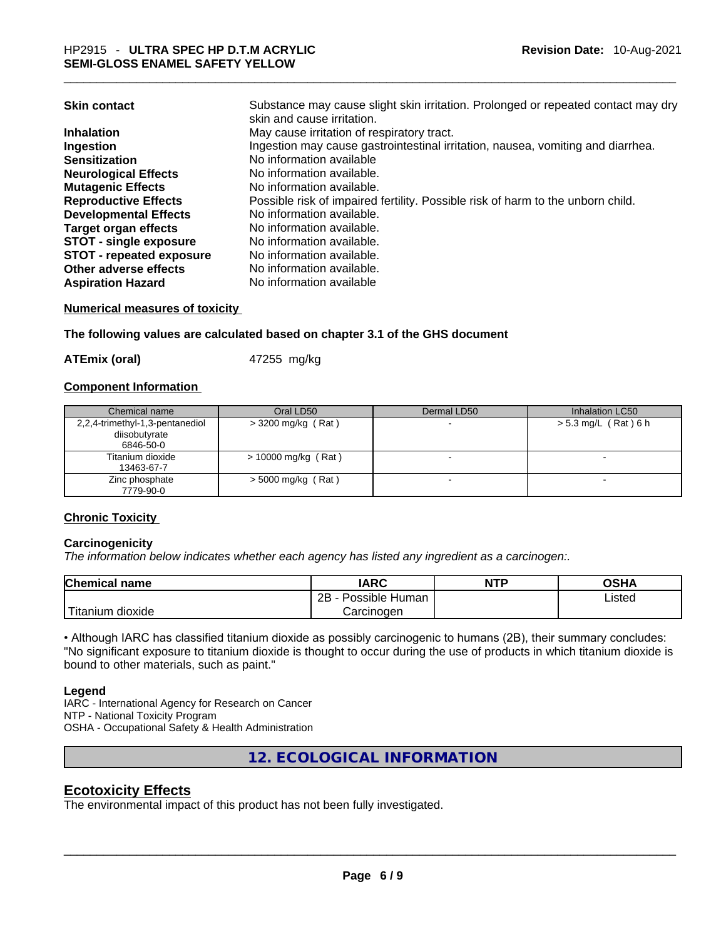#### **Numerical measures of toxicity**

#### **The following values are calculated based on chapter 3.1 of the GHS document**

**ATEmix (oral)** 47255 mg/kg

#### **Component Information**

| Chemical name                                                 | Oral LD50             | Dermal LD50 | Inhalation LC50        |
|---------------------------------------------------------------|-----------------------|-------------|------------------------|
| 2,2,4-trimethyl-1,3-pentanediol<br>diisobutyrate<br>6846-50-0 | $>$ 3200 mg/kg (Rat)  |             | $> 5.3$ mg/L (Rat) 6 h |
| Titanium dioxide<br>13463-67-7                                | $> 10000$ mg/kg (Rat) |             |                        |
| Zinc phosphate<br>7779-90-0                                   | $>$ 5000 mg/kg (Rat)  |             |                        |

#### **Chronic Toxicity**

#### **Carcinogenicity**

*The information below indicates whether each agency has listed any ingredient as a carcinogen:.* 

| <b>Chemical name</b>  | IARC                 | <b>NTP</b> | OSHA   |
|-----------------------|----------------------|------------|--------|
|                       | 2B<br>Possible Human |            | Listed |
| Titanium L<br>dioxide | Carcinogen           |            |        |

• Although IARC has classified titanium dioxide as possibly carcinogenic to humans (2B), their summary concludes: "No significant exposure to titanium dioxide is thought to occur during the use of products in which titanium dioxide is bound to other materials, such as paint."

#### **Legend**

IARC - International Agency for Research on Cancer NTP - National Toxicity Program OSHA - Occupational Safety & Health Administration

**12. ECOLOGICAL INFORMATION** 

#### **Ecotoxicity Effects**

The environmental impact of this product has not been fully investigated.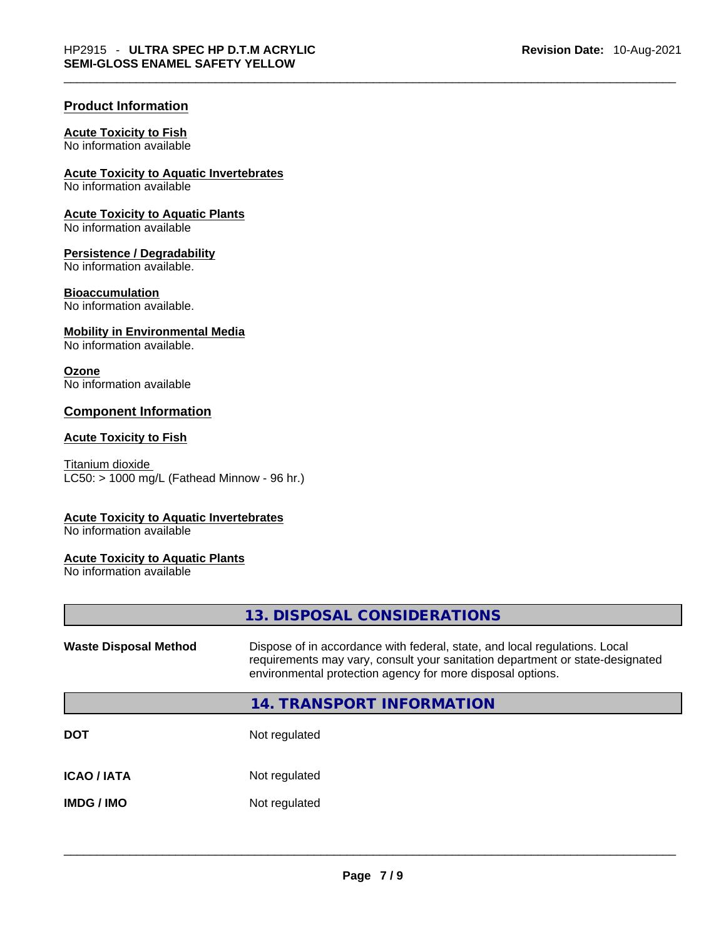#### **Product Information**

#### **Acute Toxicity to Fish**

No information available

#### **Acute Toxicity to Aquatic Invertebrates**

No information available

### **Acute Toxicity to Aquatic Plants**

No information available

#### **Persistence / Degradability**

No information available.

#### **Bioaccumulation**

No information available.

#### **Mobility in Environmental Media**

No information available.

#### **Ozone**

No information available

#### **Component Information**

#### **Acute Toxicity to Fish**

Titanium dioxide  $LC50: > 1000$  mg/L (Fathead Minnow - 96 hr.)

#### **Acute Toxicity to Aquatic Invertebrates**

No information available

#### **Acute Toxicity to Aquatic Plants**

No information available

|                              | 13. DISPOSAL CONSIDERATIONS                                                                                                                                                                                               |
|------------------------------|---------------------------------------------------------------------------------------------------------------------------------------------------------------------------------------------------------------------------|
| <b>Waste Disposal Method</b> | Dispose of in accordance with federal, state, and local regulations. Local<br>requirements may vary, consult your sanitation department or state-designated<br>environmental protection agency for more disposal options. |
|                              | 14. TRANSPORT INFORMATION                                                                                                                                                                                                 |
| <b>DOT</b>                   | Not regulated                                                                                                                                                                                                             |
| <b>ICAO/IATA</b>             | Not regulated                                                                                                                                                                                                             |
| <b>IMDG / IMO</b>            | Not regulated                                                                                                                                                                                                             |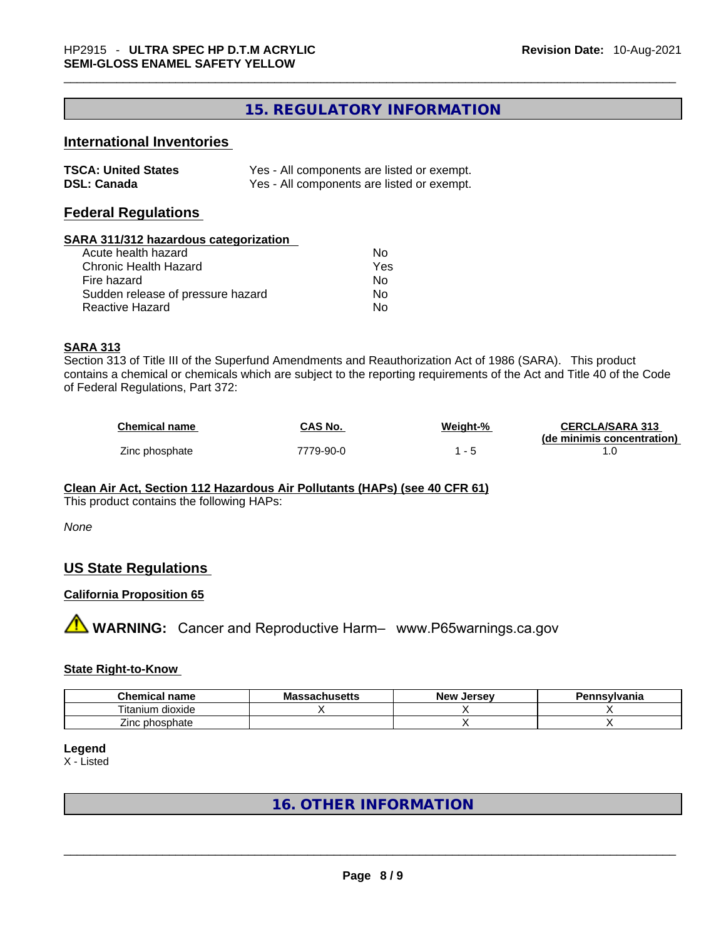#### **15. REGULATORY INFORMATION**

#### **International Inventories**

| <b>TSCA: United States</b> | Yes - All components are listed or exempt. |
|----------------------------|--------------------------------------------|
| <b>DSL: Canada</b>         | Yes - All components are listed or exempt. |

#### **Federal Regulations**

#### **SARA 311/312 hazardous categorization**

| Acute health hazard               | Nο  |
|-----------------------------------|-----|
| Chronic Health Hazard             | Yes |
| Fire hazard                       | Nο  |
| Sudden release of pressure hazard | Nο  |
| Reactive Hazard                   | No  |

#### **SARA 313**

Section 313 of Title III of the Superfund Amendments and Reauthorization Act of 1986 (SARA). This product contains a chemical or chemicals which are subject to the reporting requirements of the Act and Title 40 of the Code of Federal Regulations, Part 372:

| <b>Chemical name</b> | CAS No.   | Weight-% | <b>CERCLA/SARA 313</b>     |
|----------------------|-----------|----------|----------------------------|
|                      |           |          | (de minimis concentration) |
| Zinc phosphate       | 7779-90-0 |          |                            |

#### **Clean Air Act,Section 112 Hazardous Air Pollutants (HAPs) (see 40 CFR 61)**

This product contains the following HAPs:

*None*

#### **US State Regulations**

#### **California Proposition 65**

**A** WARNING: Cancer and Reproductive Harm– www.P65warnings.ca.gov

#### **State Right-to-Know**

| <b>Chemical name</b>            | <b>Massachusetts</b> | Jersev<br><b>New</b> | Pennsylvania |
|---------------------------------|----------------------|----------------------|--------------|
| $\cdot$ .<br>itanium<br>dioxide |                      |                      |              |
| ∠inc phosphate                  |                      |                      |              |

#### **Legend**

X - Listed

#### **16. OTHER INFORMATION**